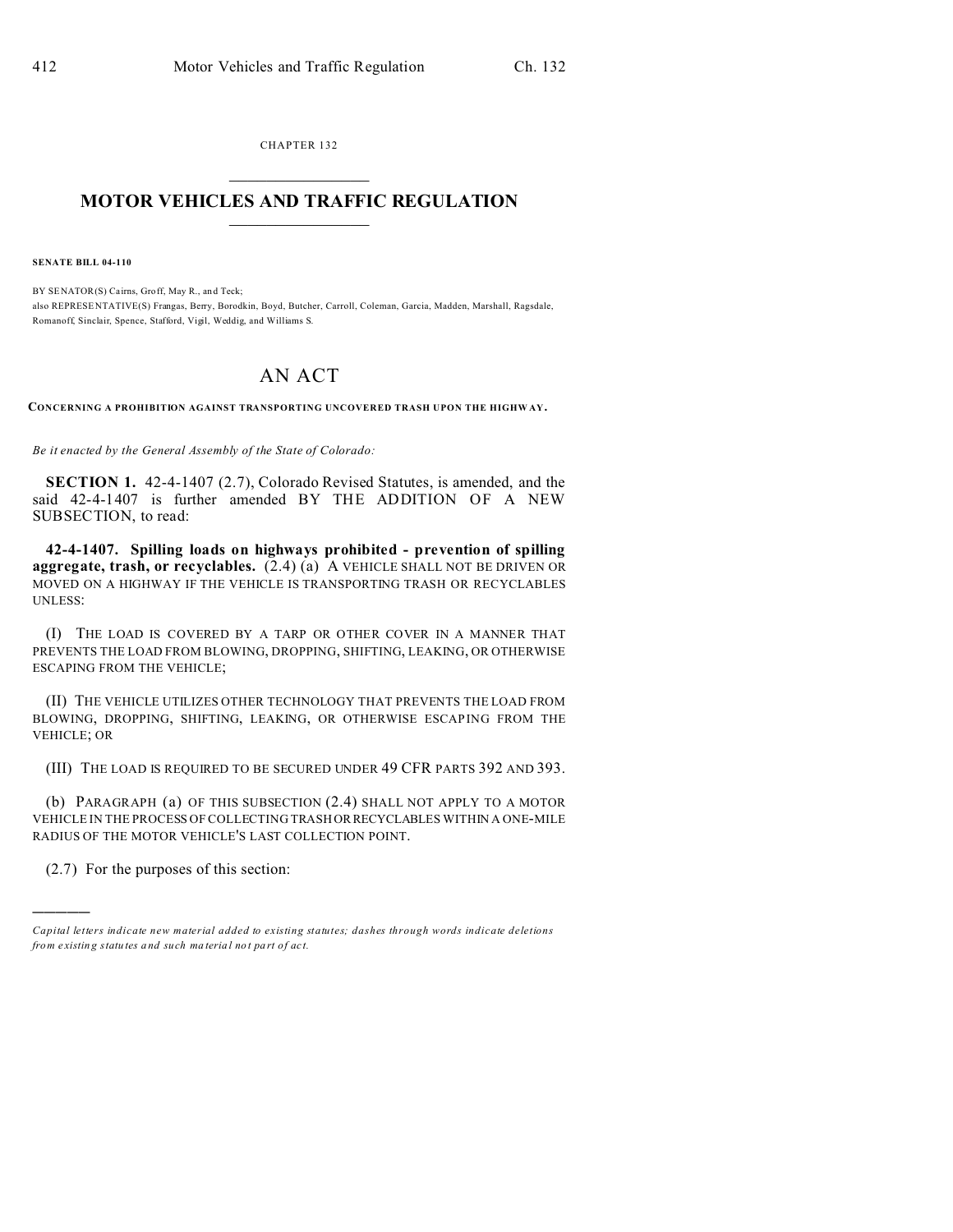CHAPTER 132  $\overline{\phantom{a}}$  , where  $\overline{\phantom{a}}$ 

## **MOTOR VEHICLES AND TRAFFIC REGULATION**  $\frac{1}{2}$  ,  $\frac{1}{2}$  ,  $\frac{1}{2}$  ,  $\frac{1}{2}$  ,  $\frac{1}{2}$  ,  $\frac{1}{2}$  ,  $\frac{1}{2}$

**SENATE BILL 04-110**

BY SENATOR(S) Cairns, Groff, May R., an d Teck; also REPRESE NTATIVE(S) Frangas, Berry, Borodkin, Boyd, Butcher, Carroll, Coleman, Garcia, Madden, Marshall, Ragsdale, Romanoff, Sinclair, Spence, Stafford, Vigil, Weddig, and Williams S.

## AN ACT

**CONCERNING A PROHIBITION AGAINST TRANSPORTING UNCOVERED TRASH UPON THE HIGHW AY.**

*Be it enacted by the General Assembly of the State of Colorado:*

**SECTION 1.** 42-4-1407 (2.7), Colorado Revised Statutes, is amended, and the said 42-4-1407 is further amended BY THE ADDITION OF A NEW SUBSECTION, to read:

**42-4-1407. Spilling loads on highways prohibited - prevention of spilling aggregate, trash, or recyclables.** (2.4) (a) A VEHICLE SHALL NOT BE DRIVEN OR MOVED ON A HIGHWAY IF THE VEHICLE IS TRANSPORTING TRASH OR RECYCLABLES UNLESS:

(I) THE LOAD IS COVERED BY A TARP OR OTHER COVER IN A MANNER THAT PREVENTS THE LOAD FROM BLOWING, DROPPING, SHIFTING, LEAKING, OR OTHERWISE ESCAPING FROM THE VEHICLE;

(II) THE VEHICLE UTILIZES OTHER TECHNOLOGY THAT PREVENTS THE LOAD FROM BLOWING, DROPPING, SHIFTING, LEAKING, OR OTHERWISE ESCAPING FROM THE VEHICLE; OR

(III) THE LOAD IS REQUIRED TO BE SECURED UNDER 49 CFR PARTS 392 AND 393.

(b) PARAGRAPH (a) OF THIS SUBSECTION (2.4) SHALL NOT APPLY TO A MOTOR VEHICLE IN THE PROCESS OF COLLECTING TRASH ORRECYCLABLES WITHIN A ONE-MILE RADIUS OF THE MOTOR VEHICLE'S LAST COLLECTION POINT.

(2.7) For the purposes of this section:

)))))

*Capital letters indicate new material added to existing statutes; dashes through words indicate deletions from e xistin g statu tes a nd such ma teria l no t pa rt of ac t.*